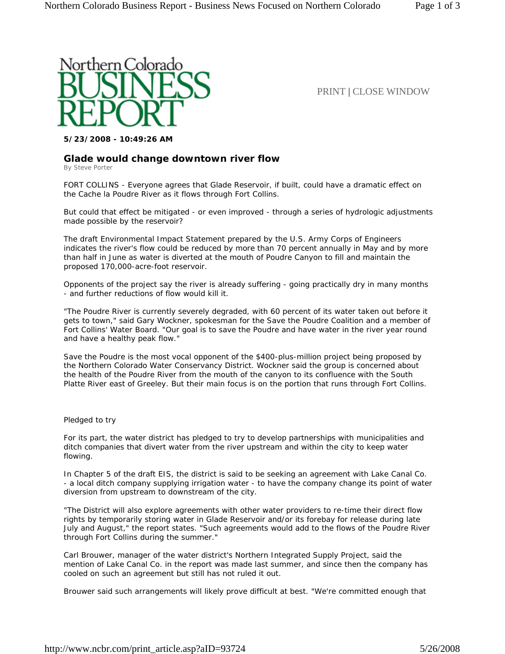

PRINT | CLOSE WINDOW

**5/23/2008 - 10:49:26 AM**

## **Glade would change downtown river flow**

By Steve Porter

FORT COLLINS - Everyone agrees that Glade Reservoir, if built, could have a dramatic effect on the Cache la Poudre River as it flows through Fort Collins.

But could that effect be mitigated - or even improved - through a series of hydrologic adjustments made possible by the reservoir?

The draft Environmental Impact Statement prepared by the U.S. Army Corps of Engineers indicates the river's flow could be reduced by more than 70 percent annually in May and by more than half in June as water is diverted at the mouth of Poudre Canyon to fill and maintain the proposed 170,000-acre-foot reservoir.

Opponents of the project say the river is already suffering - going practically dry in many months - and further reductions of flow would kill it.

"The Poudre River is currently severely degraded, with 60 percent of its water taken out before it gets to town," said Gary Wockner, spokesman for the Save the Poudre Coalition and a member of Fort Collins' Water Board. "Our goal is to save the Poudre and have water in the river year round and have a healthy peak flow."

Save the Poudre is the most vocal opponent of the \$400-plus-million project being proposed by the Northern Colorado Water Conservancy District. Wockner said the group is concerned about the health of the Poudre River from the mouth of the canyon to its confluence with the South Platte River east of Greeley. But their main focus is on the portion that runs through Fort Collins.

Pledged to try

For its part, the water district has pledged to try to develop partnerships with municipalities and ditch companies that divert water from the river upstream and within the city to keep water flowing.

In Chapter 5 of the draft EIS, the district is said to be seeking an agreement with Lake Canal Co. - a local ditch company supplying irrigation water - to have the company change its point of water diversion from upstream to downstream of the city.

"The District will also explore agreements with other water providers to re-time their direct flow rights by temporarily storing water in Glade Reservoir and/or its forebay for release during late July and August," the report states. "Such agreements would add to the flows of the Poudre River through Fort Collins during the summer."

Carl Brouwer, manager of the water district's Northern Integrated Supply Project, said the mention of Lake Canal Co. in the report was made last summer, and since then the company has cooled on such an agreement but still has not ruled it out.

Brouwer said such arrangements will likely prove difficult at best. "We're committed enough that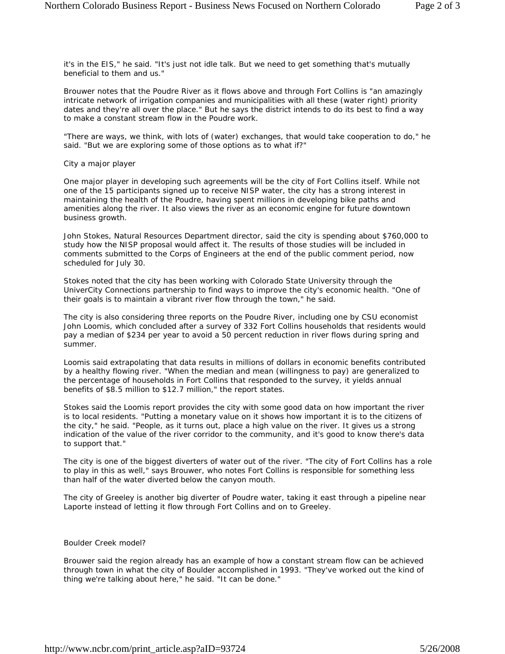it's in the EIS," he said. "It's just not idle talk. But we need to get something that's mutually beneficial to them and us."

Brouwer notes that the Poudre River as it flows above and through Fort Collins is "an amazingly intricate network of irrigation companies and municipalities with all these (water right) priority dates and they're all over the place." But he says the district intends to do its best to find a way to make a constant stream flow in the Poudre work.

"There are ways, we think, with lots of (water) exchanges, that would take cooperation to do," he said. "But we are exploring some of those options as to what if?"

City a major player

One major player in developing such agreements will be the city of Fort Collins itself. While not one of the 15 participants signed up to receive NISP water, the city has a strong interest in maintaining the health of the Poudre, having spent millions in developing bike paths and amenities along the river. It also views the river as an economic engine for future downtown business growth.

John Stokes, Natural Resources Department director, said the city is spending about \$760,000 to study how the NISP proposal would affect it. The results of those studies will be included in comments submitted to the Corps of Engineers at the end of the public comment period, now scheduled for July 30.

Stokes noted that the city has been working with Colorado State University through the UniverCity Connections partnership to find ways to improve the city's economic health. "One of their goals is to maintain a vibrant river flow through the town," he said.

The city is also considering three reports on the Poudre River, including one by CSU economist John Loomis, which concluded after a survey of 332 Fort Collins households that residents would pay a median of \$234 per year to avoid a 50 percent reduction in river flows during spring and summer.

Loomis said extrapolating that data results in millions of dollars in economic benefits contributed by a healthy flowing river. "When the median and mean (willingness to pay) are generalized to the percentage of households in Fort Collins that responded to the survey, it yields annual benefits of \$8.5 million to \$12.7 million," the report states.

Stokes said the Loomis report provides the city with some good data on how important the river is to local residents. "Putting a monetary value on it shows how important it is to the citizens of the city," he said. "People, as it turns out, place a high value on the river. It gives us a strong indication of the value of the river corridor to the community, and it's good to know there's data to support that."

The city is one of the biggest diverters of water out of the river. "The city of Fort Collins has a role to play in this as well," says Brouwer, who notes Fort Collins is responsible for something less than half of the water diverted below the canyon mouth.

The city of Greeley is another big diverter of Poudre water, taking it east through a pipeline near Laporte instead of letting it flow through Fort Collins and on to Greeley.

## Boulder Creek model?

Brouwer said the region already has an example of how a constant stream flow can be achieved through town in what the city of Boulder accomplished in 1993. "They've worked out the kind of thing we're talking about here," he said. "It can be done."